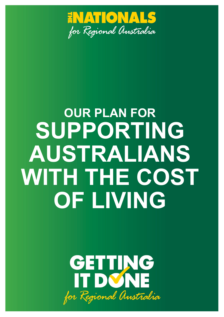

# **OUR PLAN FOR SUPPORTING AUSTRALIANS**  WITH THE COST **OF LIVING**

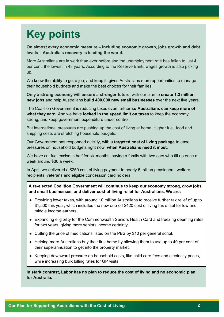# **Key points**

**On almost every economic measure – including economic growth, jobs growth and debt levels – Australia's recovery is leading the world.**

More Australians are in work than ever before and the unemployment rate has fallen to just 4 per cent, the lowest in 48 years. According to the Reserve Bank, wages growth is also picking up.

We know the ability to get a job, and keep it, gives Australians more opportunities to manage their household budgets and make the best choices for their families.

**Only a strong economy will ensure a stronger future,** with our plan to **create 1.3 million new jobs** and help Australians **build 400,000 new small businesses** over the next five years.

The Coalition Government is reducing taxes even further **so Australians can keep more of what they earn**. And we have **locked in the speed limit on taxes** to keep the economy strong, and keep government expenditure under control.

But international pressures are pushing up the cost of living at home. Higher fuel, food and shipping costs are stretching household budgets.

Our Government has responded quickly, with a **targeted cost of living package** to ease pressures on household budgets right now, **when Australians need it most**.

We have cut fuel excise in half for six months, saving a family with two cars who fill up once a week around \$30 a week.

In April, we delivered a \$250 cost of living payment to nearly 6 million pensioners, welfare recipients, veterans and eligible concession card holders.

**A re-elected Coalition Government will continue to keep our economy strong, grow jobs and small businesses, and deliver cost of living relief for Australians. We are:**

- Providing lower taxes, with around 10 million Australians to receive further tax relief of up to \$1,500 this year, which includes the new one-off \$420 cost of living tax offset for low and middle income earners.
- Expanding eligibility for the Commonwealth Seniors Health Card and freezing deeming rates for two years, giving more seniors income certainty.
- Cutting the price of medications listed on the PBS by \$10 per general script.
- Helping more Australians buy their first home by allowing them to use up to 40 per cent of their superannuation to get into the property market.
- Keeping downward pressure on household costs, like child care fees and electricity prices, while increasing bulk billing rates for GP visits.

**In stark contrast, Labor has no plan to reduce the cost of living and no economic plan for Australia.**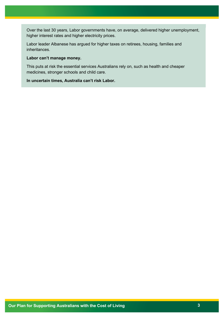Over the last 30 years, Labor governments have, on average, delivered higher unemployment, higher interest rates and higher electricity prices.

Labor leader Albanese has argued for higher taxes on retirees, housing, families and inheritances.

#### **Labor can't manage money.**

This puts at risk the essential services Australians rely on, such as health and cheaper medicines, stronger schools and child care.

**In uncertain times, Australia can't risk Labor.**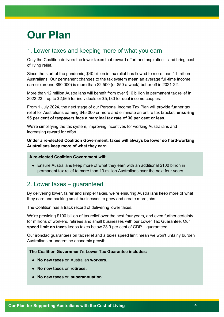# **Our Plan**

# 1. Lower taxes and keeping more of what you earn

Only the Coalition delivers the lower taxes that reward effort and aspiration – and bring cost of living relief.

Since the start of the pandemic, \$40 billion in tax relief has flowed to more than 11 million Australians. Our permanent changes to the tax system mean an average full-time income earner (around \$90,000) is more than \$2,500 (or \$50 a week) better off in 2021-22.

More than 12 million Australians will benefit from over \$16 billion in permanent tax relief in 2022-23 – up to \$2,565 for individuals or \$5,130 for dual income couples.

From 1 July 2024, the next stage of our Personal Income Tax Plan will provide further tax relief for Australians earning \$45,000 or more and eliminate an entire tax bracket, **ensuring 95 per cent of taxpayers face a marginal tax rate of 30 per cent or less.**

We're simplifying the tax system, improving incentives for working Australians and increasing reward for effort.

**Under a re-elected Coalition Government, taxes will always be lower so hard-working Australians keep more of what they earn.**

#### **A re-elected Coalition Government will:**

● Ensure Australians keep more of what they earn with an additional \$100 billion in permanent tax relief to more than 13 million Australians over the next four years.

# 2. Lower taxes – guaranteed

By delivering lower, fairer and simpler taxes, we're ensuring Australians keep more of what they earn and backing small businesses to grow and create more jobs.

The Coalition has a track record of delivering lower taxes.

We're providing \$100 billion of tax relief over the next four years, and even further certainty for millions of workers, retirees and small businesses with our Lower Tax Guarantee. Our **speed limit on taxes** keeps taxes below 23.9 per cent of GDP – guaranteed.

Our ironclad guarantees on tax relief and a taxes speed limit mean we won't unfairly burden Australians or undermine economic growth.

#### **The Coalition Government's Lower Tax Guarantee includes:**

- **No new taxes** on Australian **workers.**
- **No new taxes** on **retirees.**
- **No new taxes** on **superannuation.**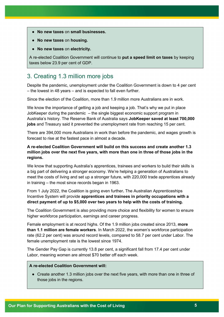- **No new taxes** on **small businesses.**
- **No new taxes** on **housing.**
- **No new taxes** on **electricity.**

A re-elected Coalition Government will continue to **put a speed limit on taxes** by keeping taxes below 23.9 per cent of GDP.

# 3. Creating 1.3 million more jobs

Despite the pandemic, unemployment under the Coalition Government is down to 4 per cent – the lowest in 48 years – and is expected to fall even further.

Since the election of the Coalition, more than 1.9 million more Australians are in work.

We know the importance of getting a job and keeping a job. That's why we put in place JobKeeper during the pandemic – the single biggest economic support program in Australia's history. The Reserve Bank of Australia says **JobKeeper saved at least 700,000 jobs** and Treasury said it prevented the unemployment rate from reaching 15 per cent.

There are 394,000 more Australians in work than before the pandemic, and wages growth is forecast to rise at the fastest pace in almost a decade.

#### **A re-elected Coalition Government will build on this success and create another 1.3 million jobs over the next five years, with more than one in three of those jobs in the regions.**

We know that supporting Australia's apprentices, trainees and workers to build their skills is a big part of delivering a stronger economy. We're helping a generation of Australians to meet the costs of living and set up a stronger future, with 220,000 trade apprentices already in training – the most since records began in 1963.

From 1 July 2022, the Coalition is going even further**.** The Australian Apprenticeships Incentive System will provide **apprentices and trainees in priority occupations with a direct payment of up to \$5,000 over two years to help with the costs of training.**

The Coalition Government is also providing more choice and flexibility for women to ensure higher workforce participation, earnings and career progress.

Female employment is at record highs. Of the 1.9 million jobs created since 2013, **more than 1.1 million are female workers**. In March 2022, the women's workforce participation rate (62.2 per cent) was around record levels, compared to 58.7 per cent under Labor. The female unemployment rate is the lowest since 1974.

The Gender Pay Gap is currently 13.8 per cent, a significant fall from 17.4 per cent under Labor, meaning women are almost \$70 better off each week.

#### **A re-elected Coalition Government will:**

● Create another 1.3 million jobs over the next five years, with more than one in three of those jobs in the regions.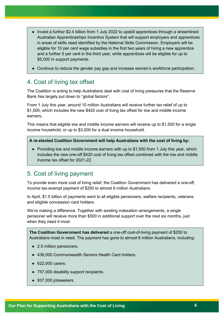- Invest a further \$2.4 billion from 1 July 2022 to upskill apprentices through a streamlined Australian Apprenticeships Incentive System that will support employers and apprentices in areas of skills need identified by the National Skills Commission. Employers will be eligible for 10 per cent wage subsidies in the first two years of hiring a new apprentice and a further 5 per cent in the third year, while apprentices will be eligible for up to \$5,000 in support payments.
- Continue to reduce the gender pay gap and increase women's workforce participation.

# 4. Cost of living tax offset

The Coalition is acting to help Australians deal with cost of living pressures that the Reserve Bank has largely put down to "global factors".

From 1 July this year, around 10 million Australians will receive further tax relief of up to \$1,500, which includes the new \$420 cost of living tax offset for low and middle income earners**.**

This means that eligible low and middle income earners will receive up to \$1,500 for a single income household, or up to \$3,000 for a dual income household.

**A re-elected Coalition Government will help Australians with the cost of living by:**

• Providing low and middle income earners with up to \$1,500 from 1 July this year, which includes the new one-off \$420 cost of living tax offset combined with the low and middle income tax offset for 2021-22.

# 5. Cost of living payment

To provide even more cost of living relief, the Coalition Government has delivered a one-off, income tax-exempt payment of \$250 to almost 6 million Australians.

In April, \$1.5 billion of payments went to all eligible pensioners, welfare recipients, veterans and eligible concession card holders.

We're making a difference. Together with existing indexation arrangements, a single pensioner will receive more than \$500 in additional support over the next six months, just when they need it most.

**The Coalition Government has delivered** a one-off cost-of-living payment of \$250 to Australians most in need. The payment has gone to almost 6 million Australians, including:

- 2.5 million pensioners.
- 436,000 Commonwealth Seniors Health Card holders.
- 622,000 carers.
- 757,000 disability support recipients.
- 937,000 jobseekers.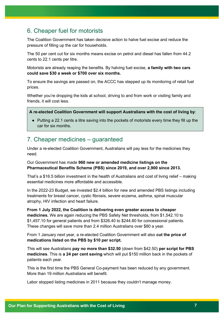# 6. Cheaper fuel for motorists

The Coalition Government has taken decisive action to halve fuel excise and reduce the pressure of filling up the car for households.

The 50 per cent cut for six months means excise on petrol and diesel has fallen from 44.2 cents to 22.1 cents per litre.

Motorists are already reaping the benefits. By halving fuel excise, **a family with two cars could save \$30 a week or \$700 over six months.**

To ensure the savings are passed on, the ACCC has stepped up its monitoring of retail fuel prices.

Whether you're dropping the kids at school, driving to and from work or visiting family and friends, it will cost less.

**A re-elected Coalition Government will support Australians with the cost of living by**:

● Putting a 22.1 cents a litre saving into the pockets of motorists every time they fill up the car for six months.

### 7. Cheaper medicines – guaranteed

Under a re-elected Coalition Government, Australians will pay less for the medicines they need.

#### Our Government has made **960 new or amended medicine listings on the Pharmaceutical Benefits Scheme (PBS) since 2019, and over 2,900 since 2013.**

That's a \$16.5 billion investment in the health of Australians and cost of living relief – making essential medicines more affordable and accessible.

In the 2022-23 Budget, we invested \$2.4 billion for new and amended PBS listings including treatments for breast cancer, cystic fibrosis, severe eczema, asthma, spinal muscular atrophy, HIV infection and heart failure.

**From 1 July 2022, the Coalition is delivering even greater access to cheaper medicines.** We are again reducing the PBS Safety Net thresholds, from \$1,542.10 to \$1,457.10 for general patients and from \$326.40 to \$244.80 for concessional patients. These changes will save more than 2.4 million Australians over \$80 a year.

From 1 January next year, a re-elected Coalition Government will also **cut the price of medications listed on the PBS by \$10 per script.**

This will see Australians **pay no more than \$32.50** (down from \$42.50) **per script for PBS medicines**. This is **a 24 per cent saving** which will put \$150 million back in the pockets of patients each year.

This is the first time the PBS General Co-payment has been reduced by any government. More than 19 million Australians will benefit.

Labor stopped listing medicines in 2011 because they couldn't manage money.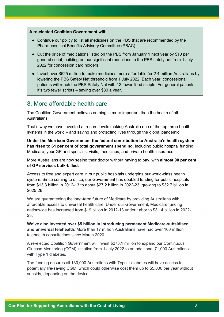#### **A re-elected Coalition Government will:**

- Continue our policy to list all medicines on the PBS that are recommended by the Pharmaceutical Benefits Advisory Committee (PBAC).
- Cut the price of medications listed on the PBS from January 1 next year by \$10 per general script, building on our significant reductions to the PBS safety net from 1 July 2022 for concession card holders.
- Invest over \$525 million to make medicines more affordable for 2.4 million Australians by lowering the PBS Safety Net threshold from 1 July 2022. Each year, concessional patients will reach the PBS Safety Net with 12 fewer filled scripts. For general patients, it's two fewer scripts – saving over \$80 a year.

### 8. More affordable health care

The Coalition Government believes nothing is more important than the health of all **Australians** 

That's why we have invested at record levels making Australia one of the top three health systems in the world – and saving and protecting lives through the global pandemic.

**Under the Morrison Government the federal contribution to Australia's health system has risen to 61 per cent of total government spending**, including public hospital funding, Medicare, your GP and specialist visits, medicines, and private health insurance.

More Australians are now seeing their doctor without having to pay, with **almost 90 per cent of GP services bulk-billed.**

Access to free and expert care in our public hospitals underpins our world-class health system. Since coming to office, our Government has doubled funding for public hospitals from \$13.3 billion in 2012-13 to about \$27.2 billion in 2022-23, growing to \$32.7 billion in 2025-26.

We are guaranteeing the long-term future of Medicare by providing Australians with affordable access to universal health care. Under our Government, Medicare funding nationwide has increased from \$19 billion in 2012-13 under Labor to \$31.4 billion in 2022- 23.

**We've also invested over \$5 billion in introducing permanent Medicare-subsidised and universal telehealth.** More than 17 million Australians have had over 100 million telehealth consultations since March 2020.

A re-elected Coalition Government will invest \$273.1 million to expand our Continuous Glucose Monitoring (CGM) initiative from 1 July 2022 to an additional 71,000 Australians with Type 1 diabetes.

The funding ensures all 130,000 Australians with Type 1 diabetes will have access to potentially life-saving CGM, which could otherwise cost them up to \$5,000 per year without subsidy, depending on the device.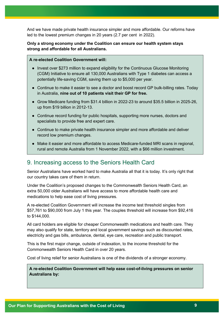And we have made private health insurance simpler and more affordable. Our reforms have led to the lowest premium changes in 20 years (2.7 per cent in 2022).

#### **Only a strong economy under the Coalition can ensure our health system stays strong and affordable for all Australians.**

#### **A re-elected Coalition Government will:**

- Invest over \$273 million to expand eligibility for the Continuous Glucose Monitoring (CGM) Initiative to ensure all 130,000 Australians with Type 1 diabetes can access a potentially life-saving CGM, saving them up to \$5,000 per year.
- Continue to make it easier to see a doctor and boost record GP bulk-billing rates. Today in Australia, **nine out of 10 patients visit their GP for free.**
- Grow Medicare funding from \$31.4 billion in 2022-23 to around \$35.5 billion in 2025-26, up from \$19 billion in 2012-13.
- Continue record funding for public hospitals, supporting more nurses, doctors and specialists to provide free and expert care.
- Continue to make private health insurance simpler and more affordable and deliver record low premium changes.
- Make it easier and more affordable to access Medicare-funded MRI scans in regional, rural and remote Australia from 1 November 2022, with a \$66 million investment.

## 9. Increasing access to the Seniors Health Card

Senior Australians have worked hard to make Australia all that it is today. It's only right that our country takes care of them in return.

Under the Coalition's proposed changes to the Commonwealth Seniors Health Card, an extra 50,000 older Australians will have access to more affordable health care and medications to help ease cost of living pressures.

A re-elected Coalition Government will increase the income test threshold singles from \$57,761 to \$90,000 from July 1 this year. The couples threshold will increase from \$92,416 to \$144,000.

All card holders are eligible for cheaper Commonwealth medications and health care. They may also qualify for state, territory and local government savings such as discounted rates, electricity and gas bills, ambulance, dental, eye care, recreation and public transport.

This is the first major change, outside of indexation, to the income threshold for the Commonwealth Seniors Health Card in over 20 years.

Cost of living relief for senior Australians is one of the dividends of a stronger economy.

**A re-elected Coalition Government will help ease cost-of-living pressures on senior Australians by:**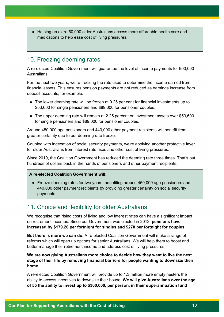● Helping an extra 50,000 older Australians access more affordable health care and medications to help ease cost of living pressures.

### 10. Freezing deeming rates

A re-elected Coalition Government will guarantee the level of income payments for 900,000 Australians.

For the next two years, we're freezing the rate used to determine the income earned from financial assets. This ensures pension payments are not reduced as earnings increase from deposit accounts, for example.

- The lower deeming rate will be frozen at 0.25 per cent for financial investments up to \$53,600 for single pensioners and \$89,000 for pensioner couples.
- The upper deeming rate will remain at 2.25 percent on investment assets over \$53,600 for single pensioners and \$89,000 for pensioner couples.

Around 450,000 age pensioners and 440,000 other payment recipients will benefit from greater certainty due to our deeming rate freeze.

Coupled with indexation of social security payments, we're applying another protective layer for older Australians from interest rate rises and other cost of living pressures.

Since 2019, the Coalition Government has reduced the deeming rate three times. That's put hundreds of dollars back in the hands of pensioners and other payment recipients.

#### **A re-elected Coalition Government will:**

● Freeze deeming rates for two years, benefiting around 450,000 age pensioners and 440,000 other payment recipients by providing greater certainty on social security payments.

## 11. Choice and flexibility for older Australians

We recognise that rising costs of living and low interest rates can have a significant impact on retirement incomes. Since our Government was elected in 2013, **pensions have increased by \$179.20 per fortnight for singles and \$270 per fortnight for couples.**

**But there is more we can do.** A re-elected Coalition Government will make a range of reforms which will open up options for senior Australians. We will help them to boost and better manage their retirement income and address cost of living pressures.

#### **We are now giving Australians more choice to decide how they want to live the next stage of their life by removing financial barriers for people wanting to downsize their home.**

A re-elected Coalition Government will provide up to 1.3 million more empty nesters the ability to access incentives to downsize their house**. We will give Australians over the age of 55 the ability to invest up to \$300,000, per person, in their superannuation fund**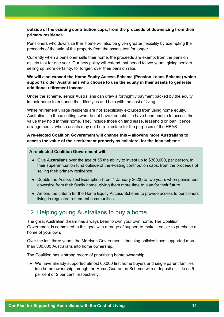#### **outside of the existing contribution caps, from the proceeds of downsizing from their primary residence.**

Pensioners who downsize their home will also be given greater flexibility by exempting the proceeds of the sale of the property from the assets test for longer.

Currently when a pensioner sells their home, the proceeds are exempt from the pension assets test for one year. Our new policy will extend that period to two years, giving seniors selling up more certainty, for longer, over their pension rate.

#### **We will also expand the Home Equity Access Scheme (Pension Loans Scheme) which supports older Australians who choose to use the equity in their assets to generate additional retirement income.**

Under the scheme, senior Australians can draw a fortnightly payment backed by the equity in their home to enhance their lifestyles and help with the cost of living.

While retirement village residents are not specifically excluded from using home equity, Australians in these settings who do not have freehold title have been unable to access the value they hold in their home. They include those on land lease, leasehold or loan licence arrangements, whose assets may not be real estate for the purposes of the HEAS.

#### **A re-elected Coalition Government will change this – allowing more Australians to access the value of their retirement property as collateral for the loan scheme.**

#### **A re-elected Coalition Government will:**

- Give Australians over the age of 55 the ability to invest up to \$300,000, per person, in their superannuation fund outside of the existing contribution caps, from the proceeds of selling their primary residence.
- Double the Assets Test Exemption (from 1 January 2023) to two years when pensioners downsize from their family home, giving them more time to plan for their future.
- Amend the criteria for the Home Equity Access Scheme to provide access to pensioners living in regulated retirement communities.

# 12. Helping young Australians to buy a home

The great Australian dream has always been to own your own home. The Coalition Government is committed to this goal with a range of support to make it easier to purchase a home of your own.

Over the last three years, the Morrison Government's housing policies have supported more than 300,000 Australians into home ownership.

The Coalition has a strong record of prioritising home ownership:

● We have already supported almost 60,000 first home buyers and single parent families into home ownership through the Home Guarantee Scheme with a deposit as little as 5 per cent or 2 per cent, respectively.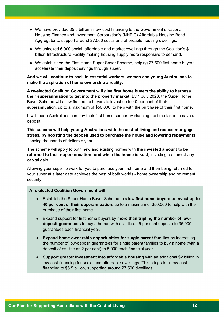- We have provided \$5.5 billion in low-cost financing to the Government's National Housing Finance and Investment Corporation's (NHFIC) Affordable Housing Bond Aggregator to support around 27,500 social and affordable housing dwellings.
- We unlocked 6,900 social, affordable and market dwellings through the Coalition's \$1 billion Infrastructure Facility making housing supply more responsive to demand.
- We established the First Home Super Saver Scheme, helping 27,600 first home buyers accelerate their deposit savings through super.

#### **And we will continue to back in essential workers, women and young Australians to make the aspiration of home ownership a reality.**

**A re-elected Coalition Government will give first home buyers the ability to harness their superannuation to get into the property market.** By 1 July 2023, the Super Home Buyer Scheme will allow first home buyers to invest up to 40 per cent of their superannuation, up to a maximum of \$50,000, to help with the purchase of their first home.

It will mean Australians can buy their first home sooner by slashing the time taken to save a deposit.

**This scheme will help young Australians with the cost of living and reduce mortgage stress, by boosting the deposit used to purchase the house and lowering repayments** - saving thousands of dollars a year.

The scheme will apply to both new and existing homes with **the invested amount to be returned to their superannuation fund when the house is sold**, including a share of any capital gain.

Allowing your super to work for you to purchase your first home and then being returned to your super at a later date achieves the best of both worlds - home ownership and retirement security.

#### **A re-elected Coalition Government will:**

- Establish the Super Home Buyer Scheme to allow **first home buyers to invest up to 40 per cent of their superannuation**, up to a maximum of \$50,000 to help with the purchase of their first home.
- Expand support for first home buyers by **more than tripling the number of lowdeposit guarantees** to buy a home (with as little as 5 per cent deposit) to 35,000 guarantees each financial year.
- **Expand home ownership opportunities for single parent families** by increasing the number of low-deposit guarantees for single parent families to buy a home (with a deposit of as little as 2 per cent) to 5,000 each financial year.
- **Support greater investment into affordable housing** with an additional \$2 billion in low-cost financing for social and affordable dwellings. This brings total low-cost financing to \$5.5 billion, supporting around 27,500 dwellings.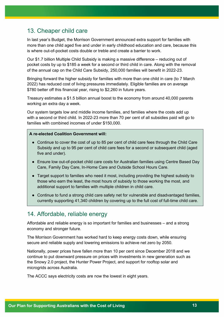# 13. Cheaper child care

In last year's Budget, the Morrison Government announced extra support for families with more than one child aged five and under in early childhood education and care, because this is where out-of-pocket costs double or treble and create a barrier to work.

Our \$1.7 billion Multiple Child Subsidy is making a massive difference – reducing out of pocket costs by up to \$185 a week for a second or third child in care. Along with the removal of the annual cap on the Child Care Subsidy, 250,000 families will benefit in 2022-23.

Bringing forward the higher subsidy for families with more than one child in care (to 7 March 2022) has reduced cost of living pressures immediately. Eligible families are on average \$780 better off this financial year, rising to \$2,260 in future years.

Treasury estimates a \$1.5 billion annual boost to the economy from around 40,000 parents working an extra day a week.

Our system targets low and middle income families, and families where the costs add up with a second or third child. In 2022-23 more than 70 per cent of all subsidies paid will go to families with combined incomes of under \$150,000.

#### **A re-elected Coalition Government will:**

- Continue to cover the cost of up to 85 per cent of child care fees through the Child Care Subsidy and up to 95 per cent of child care fees for a second or subsequent child (aged five and under).
- Ensure low out-of-pocket child care costs for Australian families using Centre Based Day Care, Family Day Care, In-Home Care and Outside School Hours Care.
- Target support to families who need it most, including providing the highest subsidy to those who earn the least, the most hours of subsidy to those working the most, and additional support to families with multiple children in child care.
- Continue to fund a strong child care safety net for vulnerable and disadvantaged families, currently supporting 41,340 children by covering up to the full cost of full-time child care.

## 14. Affordable, reliable energy

Affordable and reliable energy is so important for families and businesses – and a strong economy and stronger future.

The Morrison Government has worked hard to keep energy costs down, while ensuring secure and reliable supply and lowering emissions to achieve net zero by 2050.

Nationally, power prices have fallen more than 10 per cent since December 2018 and we continue to put downward pressure on prices with investments in new generation such as the Snowy 2.0 project, the Hunter Power Project, and support for rooftop solar and microgrids across Australia.

The ACCC says electricity costs are now the lowest in eight years.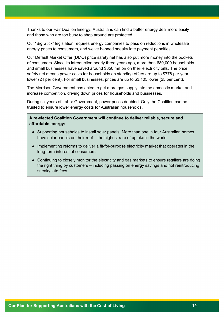Thanks to our Fair Deal on Energy, Australians can find a better energy deal more easily and those who are too busy to shop around are protected.

Our "Big Stick" legislation requires energy companies to pass on reductions in wholesale energy prices to consumers, and we've banned sneaky late payment penalties.

Our Default Market Offer (DMO) price safety net has also put more money into the pockets of consumers. Since its introduction nearly three years ago, more than 680,000 households and small businesses have saved around \$350 million on their electricity bills. The price safety net means power costs for households on standing offers are up to \$778 per year lower (24 per cent). For small businesses, prices are up to \$3,105 lower (25 per cent).

The Morrison Government has acted to get more gas supply into the domestic market and increase competition, driving down prices for households and businesses.

During six years of Labor Government, power prices doubled. Only the Coalition can be trusted to ensure lower energy costs for Australian households.

**A re-elected Coalition Government will continue to deliver reliable, secure and affordable energy:**

- Supporting households to install solar panels. More than one in four Australian homes have solar panels on their roof – the highest rate of uptake in the world.
- Implementing reforms to deliver a fit-for-purpose electricity market that operates in the long-term interest of consumers.
- Continuing to closely monitor the electricity and gas markets to ensure retailers are doing the right thing by customers – including passing on energy savings and not reintroducing sneaky late fees.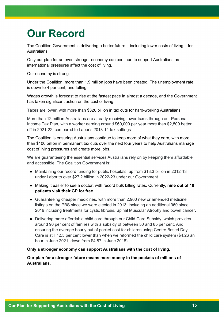# **Our Record**

The Coalition Government is delivering a better future – including lower costs of living – for Australians.

Only our plan for an even stronger economy can continue to support Australians as international pressures affect the cost of living.

Our economy is strong.

Under the Coalition, more than 1.9 million jobs have been created. The unemployment rate is down to 4 per cent, and falling.

Wages growth is forecast to rise at the fastest pace in almost a decade, and the Government has taken significant action on the cost of living.

Taxes are lower, with more than \$320 billion in tax cuts for hard-working Australians.

More than 12 million Australians are already receiving lower taxes through our Personal Income Tax Plan, with a worker earning around \$60,000 per year more than \$2,500 better off in 2021-22, compared to Labor's 2013-14 tax settings.

The Coalition is ensuring Australians continue to keep more of what they earn, with more than \$100 billion in permanent tax cuts over the next four years to help Australians manage cost of living pressures and create more jobs.

We are guaranteeing the essential services Australians rely on by keeping them affordable and accessible. The Coalition Government is:

- Maintaining our record funding for public hospitals, up from \$13.3 billion in 2012-13 under Labor to over \$27.2 billion in 2022-23 under our Government.
- Making it easier to see a doctor, with record bulk billing rates. Currently, **nine out of 10 patients visit their GP for free.**
- Guaranteeing cheaper medicines, with more than 2,900 new or amended medicine listings on the PBS since we were elected in 2013, including an additional 960 since 2019 including treatments for cystic fibrosis, Spinal Muscular Atrophy and bowel cancer.
- Delivering more affordable child care through our Child Care Subsidy, which provides around 90 per cent of families with a subsidy of between 50 and 85 per cent. And ensuring the average hourly out of pocket cost for children using Centre Based Day Care is still 12.5 per cent lower than when we reformed the child care system (\$4.26 an hour in June 2021, down from \$4.87 in June 2018).

#### **Only a stronger economy can support Australians with the cost of living.**

#### **Our plan for a stronger future means more money in the pockets of millions of Australians.**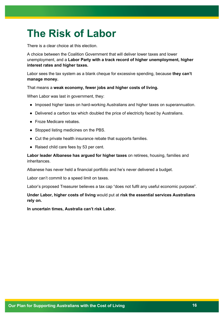# **The Risk of Labor**

There is a clear choice at this election.

A choice between the Coalition Government that will deliver lower taxes and lower unemployment, and a **Labor Party with a track record of higher unemployment, higher interest rates and higher taxes.**

Labor sees the tax system as a blank cheque for excessive spending, because **they can't manage money.**

That means a **weak economy, fewer jobs and higher costs of living.**

When Labor was last in government, they:

- Imposed higher taxes on hard-working Australians and higher taxes on superannuation.
- Delivered a carbon tax which doubled the price of electricity faced by Australians.
- Froze Medicare rebates.
- Stopped listing medicines on the PBS.
- Cut the private health insurance rebate that supports families.
- Raised child care fees by 53 per cent.

**Labor leader Albanese has argued for higher taxes** on retirees, housing, families and inheritances.

Albanese has never held a financial portfolio and he's never delivered a budget.

Labor can't commit to a speed limit on taxes.

Labor's proposed Treasurer believes a tax cap "does not fulfil any useful economic purpose".

#### **Under Labor, higher costs of living** would put at **risk the essential services Australians rely on.**

**In uncertain times, Australia can't risk Labor.**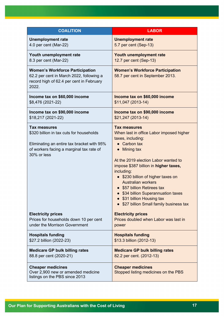| <b>COALITION</b>                                                                                                                                                         | <b>LABOR</b>                                                                                                                                                                                                                                                                                                                                                                                                                                |
|--------------------------------------------------------------------------------------------------------------------------------------------------------------------------|---------------------------------------------------------------------------------------------------------------------------------------------------------------------------------------------------------------------------------------------------------------------------------------------------------------------------------------------------------------------------------------------------------------------------------------------|
| <b>Unemployment rate</b>                                                                                                                                                 | <b>Unemployment rate</b>                                                                                                                                                                                                                                                                                                                                                                                                                    |
| 4.0 per cent (Mar-22)                                                                                                                                                    | 5.7 per cent (Sep-13)                                                                                                                                                                                                                                                                                                                                                                                                                       |
| Youth unemployment rate                                                                                                                                                  | Youth unemployment rate                                                                                                                                                                                                                                                                                                                                                                                                                     |
| 8.3 per cent (Mar-22)                                                                                                                                                    | 12.7 per cent (Sep-13)                                                                                                                                                                                                                                                                                                                                                                                                                      |
| <b>Women's Workforce Participation</b><br>62.2 per cent in March 2022, following a<br>record high of 62.4 per cent in February<br>2022.                                  | <b>Women's Workforce Participation</b><br>58.7 per cent in September 2013.                                                                                                                                                                                                                                                                                                                                                                  |
| Income tax on \$60,000 income                                                                                                                                            | Income tax on \$60,000 income                                                                                                                                                                                                                                                                                                                                                                                                               |
| \$8,476 (2021-22)                                                                                                                                                        | \$11,047 (2013-14)                                                                                                                                                                                                                                                                                                                                                                                                                          |
| Income tax on \$90,000 income                                                                                                                                            | Income tax on \$90,000 income                                                                                                                                                                                                                                                                                                                                                                                                               |
| \$18,217 (2021-22)                                                                                                                                                       | \$21,247 (2013-14)                                                                                                                                                                                                                                                                                                                                                                                                                          |
| <b>Tax measures</b><br>\$320 billion in tax cuts for households<br>Eliminating an entire tax bracket with 95%<br>of workers facing a marginal tax rate of<br>30% or less | <b>Tax measures</b><br>When last in office Labor imposed higher<br>taxes, including:<br>$\bullet$ Carbon tax<br><b>Mining tax</b><br>At the 2019 election Labor wanted to<br>impose \$387 billion in higher taxes,<br>including:<br>• \$230 billion of higher taxes on<br><b>Australian workers</b><br>\$57 billion Retirees tax<br>\$34 billion Superannuation taxes<br>\$31 billion Housing tax<br>\$27 billion Small family business tax |
| <b>Electricity prices</b>                                                                                                                                                | <b>Electricity prices</b>                                                                                                                                                                                                                                                                                                                                                                                                                   |
| Prices for households down 10 per cent                                                                                                                                   | Prices doubled when Labor was last in                                                                                                                                                                                                                                                                                                                                                                                                       |
| under the Morrison Government                                                                                                                                            | power                                                                                                                                                                                                                                                                                                                                                                                                                                       |
| <b>Hospitals funding</b>                                                                                                                                                 | <b>Hospitals funding</b>                                                                                                                                                                                                                                                                                                                                                                                                                    |
| \$27.2 billion (2022-23)                                                                                                                                                 | \$13.3 billion (2012-13)                                                                                                                                                                                                                                                                                                                                                                                                                    |
| <b>Medicare GP bulk billing rates</b>                                                                                                                                    | <b>Medicare GP bulk billing rates</b>                                                                                                                                                                                                                                                                                                                                                                                                       |
| 88.8 per cent (2020-21)                                                                                                                                                  | 82.2 per cent. (2012-13)                                                                                                                                                                                                                                                                                                                                                                                                                    |
| <b>Cheaper medicines</b><br>Over 2,900 new or amended medicine<br>listings on the PBS since 2013                                                                         | <b>Cheaper medicines</b><br>Stopped listing medicines on the PBS                                                                                                                                                                                                                                                                                                                                                                            |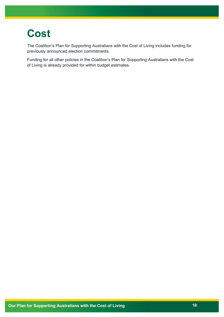# **Cost**

The Coalition's Plan for Supporting Australians with the Cost of Living includes funding for previously announced election commitments.

Funding for all other policies in the Coalition's Plan for Supporting Australians with the Cost of Living is already provided for within budget estimates.